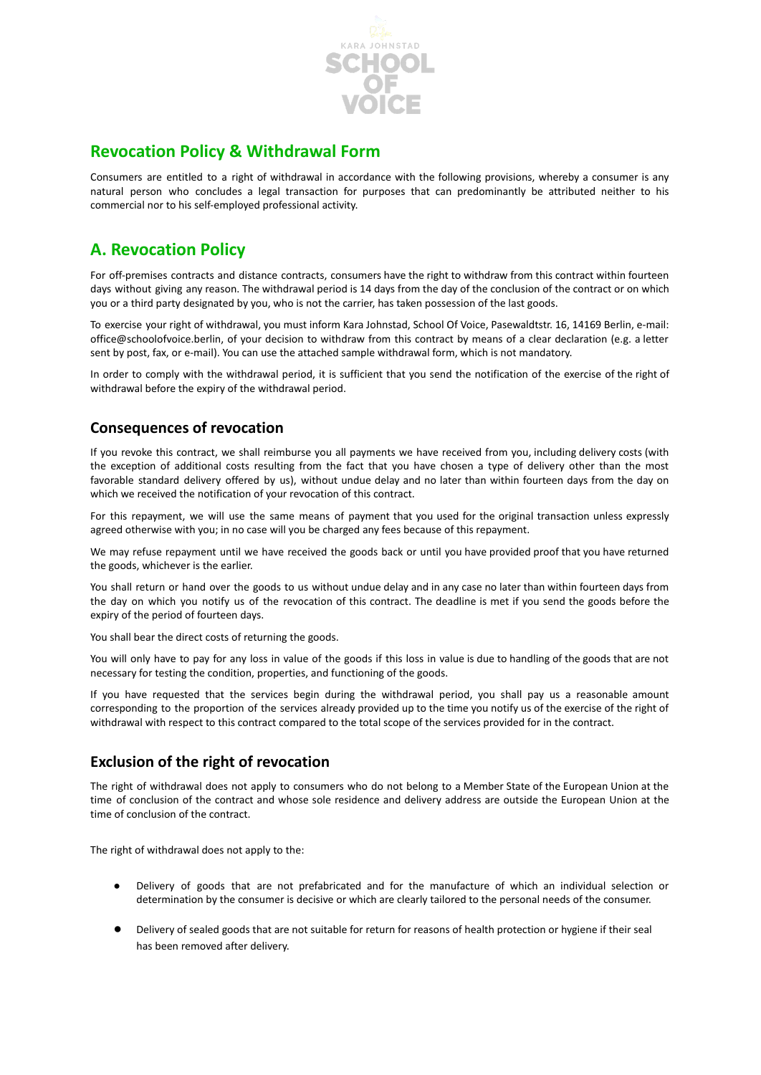

## **Revocation Policy & Withdrawal Form**

Consumers are entitled to a right of withdrawal in accordance with the following provisions, whereby a consumer is any natural person who concludes a legal transaction for purposes that can predominantly be attributed neither to his commercial nor to his self-employed professional activity.

# **A. Revocation Policy**

For off-premises contracts and distance contracts, consumers have the right to withdraw from this contract within fourteen days without giving any reason. The withdrawal period is 14 days from the day of the conclusion of the contract or on which you or a third party designated by you, who is not the carrier, has taken possession of the last goods.

To exercise your right of withdrawal, you must inform Kara Johnstad, School Of Voice, Pasewaldtstr. 16, 14169 Berlin, e-mail: office@schoolofvoice.berlin, of your decision to withdraw from this contract by means of a clear declaration (e.g. a letter sent by post, fax, or e-mail). You can use the attached sample withdrawal form, which is not mandatory.

In order to comply with the withdrawal period, it is sufficient that you send the notification of the exercise of the right of withdrawal before the expiry of the withdrawal period.

## **Consequences of revocation**

If you revoke this contract, we shall reimburse you all payments we have received from you, including delivery costs (with the exception of additional costs resulting from the fact that you have chosen a type of delivery other than the most favorable standard delivery offered by us), without undue delay and no later than within fourteen days from the day on which we received the notification of your revocation of this contract.

For this repayment, we will use the same means of payment that you used for the original transaction unless expressly agreed otherwise with you; in no case will you be charged any fees because of this repayment.

We may refuse repayment until we have received the goods back or until you have provided proof that you have returned the goods, whichever is the earlier.

You shall return or hand over the goods to us without undue delay and in any case no later than within fourteen days from the day on which you notify us of the revocation of this contract. The deadline is met if you send the goods before the expiry of the period of fourteen days.

You shall bear the direct costs of returning the goods.

You will only have to pay for any loss in value of the goods if this loss in value is due to handling of the goods that are not necessary for testing the condition, properties, and functioning of the goods.

If you have requested that the services begin during the withdrawal period, you shall pay us a reasonable amount corresponding to the proportion of the services already provided up to the time you notify us of the exercise of the right of withdrawal with respect to this contract compared to the total scope of the services provided for in the contract.

## **Exclusion of the right of revocation**

The right of withdrawal does not apply to consumers who do not belong to a Member State of the European Union at the time of conclusion of the contract and whose sole residence and delivery address are outside the European Union at the time of conclusion of the contract.

The right of withdrawal does not apply to the:

- Delivery of goods that are not prefabricated and for the manufacture of which an individual selection or determination by the consumer is decisive or which are clearly tailored to the personal needs of the consumer.
- Delivery of sealed goods that are not suitable for return for reasons of health protection or hygiene if their seal has been removed after delivery.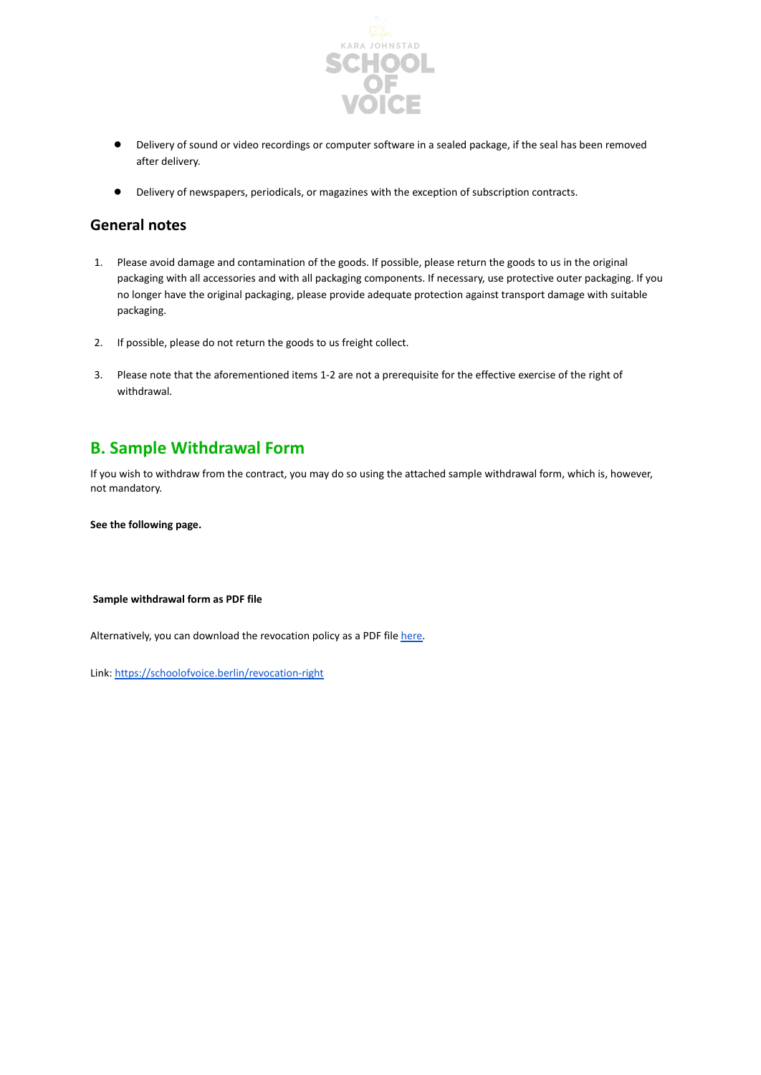

- Delivery of sound or video recordings or computer software in a sealed package, if the seal has been removed after delivery.
- Delivery of newspapers, periodicals, or magazines with the exception of subscription contracts.

#### **General notes**

- 1. Please avoid damage and contamination of the goods. If possible, please return the goods to us in the original packaging with all accessories and with all packaging components. If necessary, use protective outer packaging. If you no longer have the original packaging, please provide adequate protection against transport damage with suitable packaging.
- 2. If possible, please do not return the goods to us freight collect.
- 3. Please note that the aforementioned items 1-2 are not a prerequisite for the effective exercise of the right of withdrawal.

## **B. Sample Withdrawal Form**

If you wish to withdraw from the contract, you may do so using the attached sample withdrawal form, which is, however, not mandatory.

**See the following page.**

#### **Sample withdrawal form as PDF file**

Alternatively, you can download the revocation policy as a PDF file [here.](https://schoolofvoice.berlin/revocation-right)

Link: <https://schoolofvoice.berlin/revocation-right>